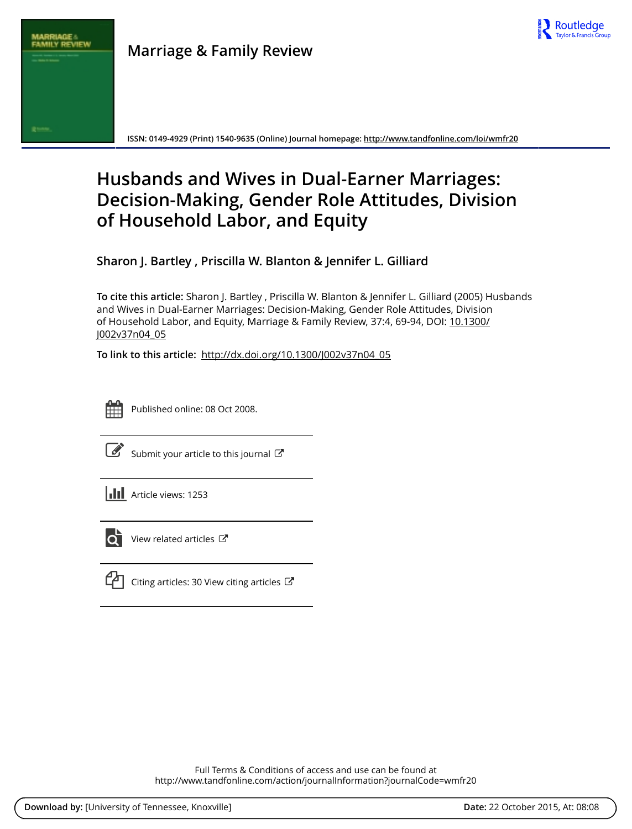



**ISSN: 0149-4929 (Print) 1540-9635 (Online) Journal homepage:<http://www.tandfonline.com/loi/wmfr20>**

# **Husbands and Wives in Dual-Earner Marriages: Decision-Making, Gender Role Attitudes, Division of Household Labor, and Equity**

**Sharon J. Bartley , Priscilla W. Blanton & Jennifer L. Gilliard**

**To cite this article:** Sharon J. Bartley , Priscilla W. Blanton & Jennifer L. Gilliard (2005) Husbands and Wives in Dual-Earner Marriages: Decision-Making, Gender Role Attitudes, Division of Household Labor, and Equity, Marriage & Family Review, 37:4, 69-94, DOI: [10.1300/](http://www.tandfonline.com/action/showCitFormats?doi=10.1300/J002v37n04_05) [J002v37n04\\_05](http://www.tandfonline.com/action/showCitFormats?doi=10.1300/J002v37n04_05)

**To link to this article:** [http://dx.doi.org/10.1300/J002v37n04\\_05](http://dx.doi.org/10.1300/J002v37n04_05)



Published online: 08 Oct 2008.

|--|

[Submit your article to this journal](http://www.tandfonline.com/action/authorSubmission?journalCode=wmfr20&page=instructions)  $\mathbb{Z}$ 

**III** Article views: 1253



 $\overline{\mathbf{C}}$  [View related articles](http://www.tandfonline.com/doi/mlt/10.1300/J002v37n04_05)  $\mathbf{C}$ 



 $\Box$  [Citing articles: 30 View citing articles](http://www.tandfonline.com/doi/citedby/10.1300/J002v37n04_05#tabModule)  $\Box$ 

Full Terms & Conditions of access and use can be found at <http://www.tandfonline.com/action/journalInformation?journalCode=wmfr20>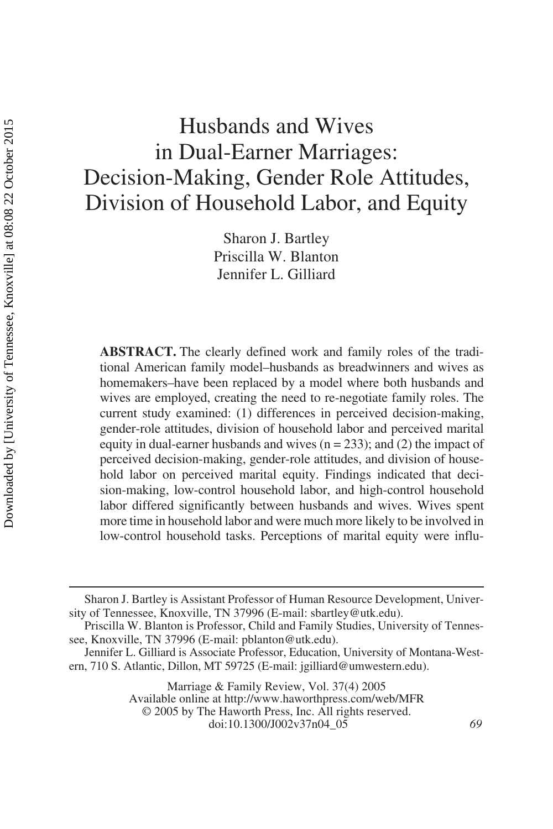## Husbands and Wives in Dual-Earner Marriages: Decision-Making, Gender Role Attitudes, Division of Household Labor, and Equity

Sharon J. Bartley Priscilla W. Blanton Jennifer L. Gilliard

**ABSTRACT.** The clearly defined work and family roles of the traditional American family model–husbands as breadwinners and wives as homemakers–have been replaced by a model where both husbands and wives are employed, creating the need to re-negotiate family roles. The current study examined: (1) differences in perceived decision-making, gender-role attitudes, division of household labor and perceived marital equity in dual-earner husbands and wives  $(n = 233)$ ; and  $(2)$  the impact of perceived decision-making, gender-role attitudes, and division of household labor on perceived marital equity. Findings indicated that decision-making, low-control household labor, and high-control household labor differed significantly between husbands and wives. Wives spent more time in household labor and were much more likely to be involved in low-control household tasks. Perceptions of marital equity were influ-

Marriage & Family Review, Vol. 37(4) 2005 Available online at http://www.haworthpress.com/web/MFR © 2005 by The Haworth Press, Inc. All rights reserved. doi:10.1300/J002v37n04\_05 *69*

Sharon J. Bartley is Assistant Professor of Human Resource Development, University of Tennessee, Knoxville, TN 37996 (E-mail: sbartley@utk.edu).

Priscilla W. Blanton is Professor, Child and Family Studies, University of Tennessee, Knoxville, TN 37996 (E-mail: pblanton@utk.edu).

Jennifer L. Gilliard is Associate Professor, Education, University of Montana-Western, 710 S. Atlantic, Dillon, MT 59725 (E-mail: jgilliard@umwestern.edu).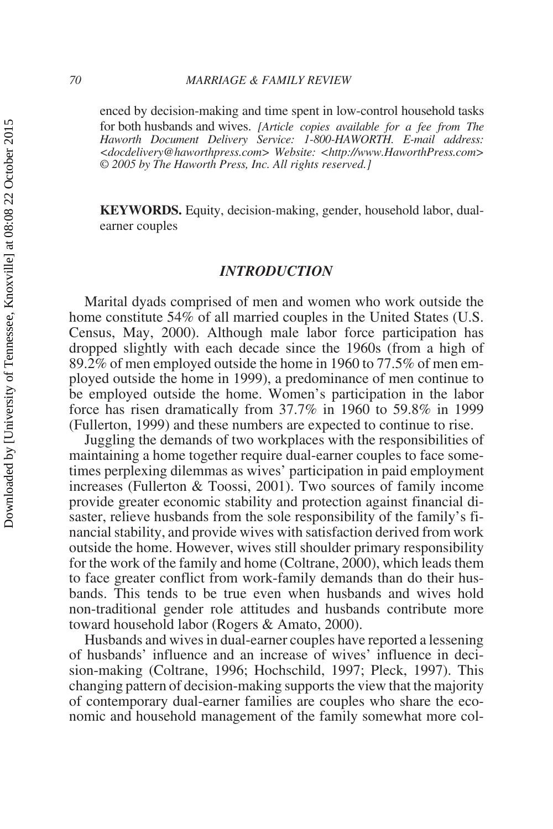enced by decision-making and time spent in low-control household tasks for both husbands and wives. *[Article copies available for a fee from The Haworth Document Delivery Service: 1-800-HAWORTH. E-mail address: <docdelivery@haworthpress.com> Website: <http://www.HaworthPress.com> © 2005 by The Haworth Press, Inc. All rights reserved.]*

**KEYWORDS.** Equity, decision-making, gender, household labor, dualearner couples

## *INTRODUCTION*

Marital dyads comprised of men and women who work outside the home constitute 54% of all married couples in the United States (U.S. Census, May, 2000). Although male labor force participation has dropped slightly with each decade since the 1960s (from a high of 89.2% of men employed outside the home in 1960 to 77.5% of men employed outside the home in 1999), a predominance of men continue to be employed outside the home. Women's participation in the labor force has risen dramatically from 37.7% in 1960 to 59.8% in 1999 (Fullerton, 1999) and these numbers are expected to continue to rise.

Juggling the demands of two workplaces with the responsibilities of maintaining a home together require dual-earner couples to face sometimes perplexing dilemmas as wives' participation in paid employment increases (Fullerton & Toossi, 2001). Two sources of family income provide greater economic stability and protection against financial disaster, relieve husbands from the sole responsibility of the family's financial stability, and provide wives with satisfaction derived from work outside the home. However, wives still shoulder primary responsibility for the work of the family and home (Coltrane, 2000), which leads them to face greater conflict from work-family demands than do their husbands. This tends to be true even when husbands and wives hold non-traditional gender role attitudes and husbands contribute more toward household labor (Rogers & Amato, 2000).

Husbands and wives in dual-earner couples have reported a lessening of husbands' influence and an increase of wives' influence in decision-making (Coltrane, 1996; Hochschild, 1997; Pleck, 1997). This changing pattern of decision-making supports the view that the majority of contemporary dual-earner families are couples who share the economic and household management of the family somewhat more col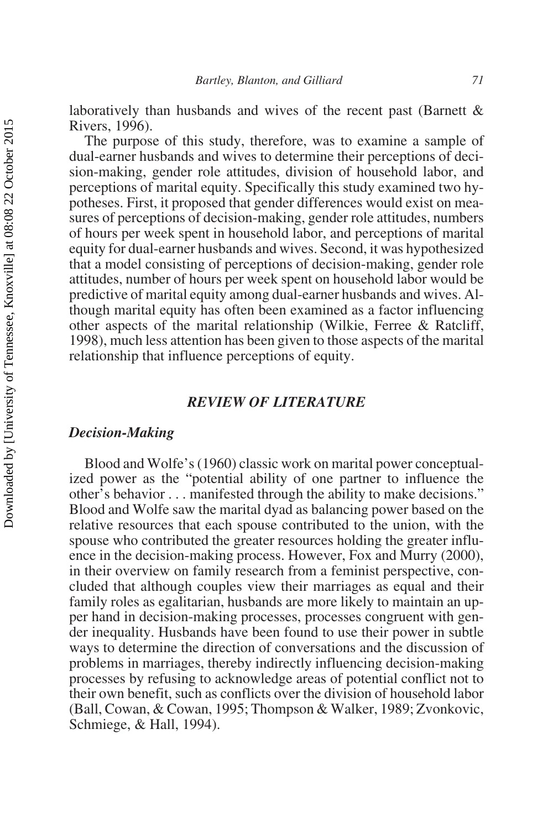laboratively than husbands and wives of the recent past (Barnett & Rivers, 1996).

The purpose of this study, therefore, was to examine a sample of dual-earner husbands and wives to determine their perceptions of decision-making, gender role attitudes, division of household labor, and perceptions of marital equity. Specifically this study examined two hypotheses. First, it proposed that gender differences would exist on measures of perceptions of decision-making, gender role attitudes, numbers of hours per week spent in household labor, and perceptions of marital equity for dual-earner husbands and wives. Second, it was hypothesized that a model consisting of perceptions of decision-making, gender role attitudes, number of hours per week spent on household labor would be predictive of marital equity among dual-earner husbands and wives. Although marital equity has often been examined as a factor influencing other aspects of the marital relationship (Wilkie, Ferree & Ratcliff, 1998), much less attention has been given to those aspects of the marital relationship that influence perceptions of equity.

## *REVIEW OF LITERATURE*

## *Decision-Making*

Blood and Wolfe's (1960) classic work on marital power conceptualized power as the "potential ability of one partner to influence the other's behavior . . . manifested through the ability to make decisions." Blood and Wolfe saw the marital dyad as balancing power based on the relative resources that each spouse contributed to the union, with the spouse who contributed the greater resources holding the greater influence in the decision-making process. However, Fox and Murry (2000), in their overview on family research from a feminist perspective, concluded that although couples view their marriages as equal and their family roles as egalitarian, husbands are more likely to maintain an upper hand in decision-making processes, processes congruent with gender inequality. Husbands have been found to use their power in subtle ways to determine the direction of conversations and the discussion of problems in marriages, thereby indirectly influencing decision-making processes by refusing to acknowledge areas of potential conflict not to their own benefit, such as conflicts over the division of household labor (Ball, Cowan, & Cowan, 1995; Thompson & Walker, 1989; Zvonkovic, Schmiege, & Hall, 1994).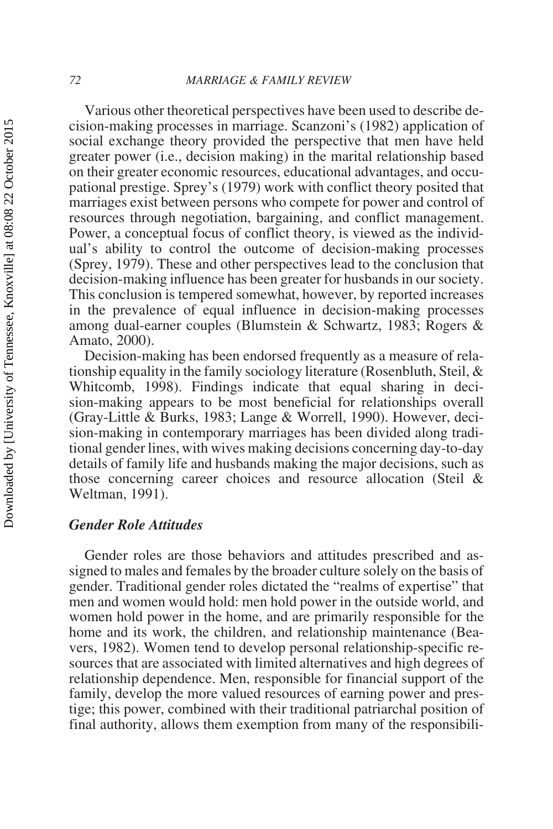Various other theoretical perspectives have been used to describe decision-making processes in marriage. Scanzoni's (1982) application of social exchange theory provided the perspective that men have held greater power (i.e., decision making) in the marital relationship based on their greater economic resources, educational advantages, and occupational prestige. Sprey's (1979) work with conflict theory posited that marriages exist between persons who compete for power and control of resources through negotiation, bargaining, and conflict management. Power, a conceptual focus of conflict theory, is viewed as the individual's ability to control the outcome of decision-making processes (Sprey, 1979). These and other perspectives lead to the conclusion that decision-making influence has been greater for husbands in our society. This conclusion is tempered somewhat, however, by reported increases in the prevalence of equal influence in decision-making processes among dual-earner couples (Blumstein & Schwartz, 1983; Rogers & Amato, 2000).

Decision-making has been endorsed frequently as a measure of relationship equality in the family sociology literature (Rosenbluth, Steil, & Whitcomb, 1998). Findings indicate that equal sharing in decision-making appears to be most beneficial for relationships overall (Gray-Little & Burks, 1983; Lange & Worrell, 1990). However, decision-making in contemporary marriages has been divided along traditional gender lines, with wives making decisions concerning day-to-day details of family life and husbands making the major decisions, such as those concerning career choices and resource allocation (Steil & Weltman, 1991).

## *Gender Role Attitudes*

Gender roles are those behaviors and attitudes prescribed and assigned to males and females by the broader culture solely on the basis of gender. Traditional gender roles dictated the "realms of expertise" that men and women would hold: men hold power in the outside world, and women hold power in the home, and are primarily responsible for the home and its work, the children, and relationship maintenance (Beavers, 1982). Women tend to develop personal relationship-specific resources that are associated with limited alternatives and high degrees of relationship dependence. Men, responsible for financial support of the family, develop the more valued resources of earning power and prestige; this power, combined with their traditional patriarchal position of final authority, allows them exemption from many of the responsibili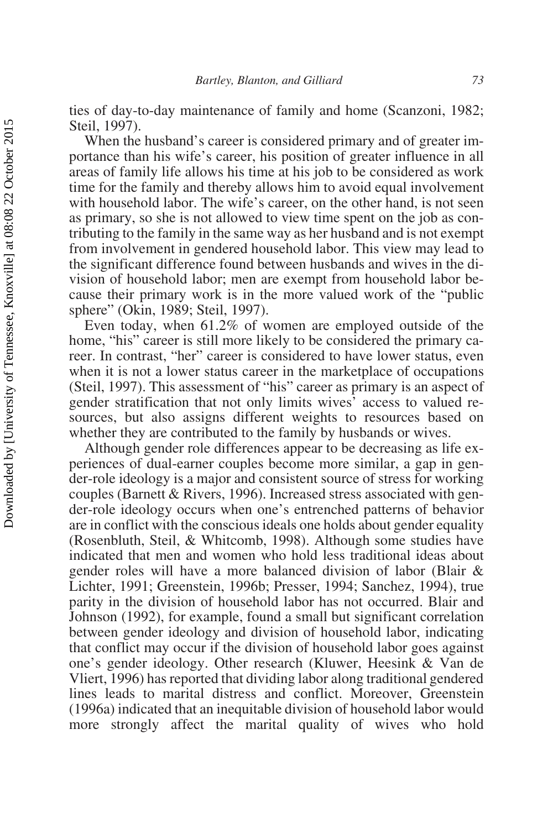ties of day-to-day maintenance of family and home (Scanzoni, 1982; Steil, 1997).

When the husband's career is considered primary and of greater importance than his wife's career, his position of greater influence in all areas of family life allows his time at his job to be considered as work time for the family and thereby allows him to avoid equal involvement with household labor. The wife's career, on the other hand, is not seen as primary, so she is not allowed to view time spent on the job as contributing to the family in the same way as her husband and is not exempt from involvement in gendered household labor. This view may lead to the significant difference found between husbands and wives in the division of household labor; men are exempt from household labor because their primary work is in the more valued work of the "public sphere" (Okin, 1989; Steil, 1997).

Even today, when 61.2% of women are employed outside of the home, "his" career is still more likely to be considered the primary career. In contrast, "her" career is considered to have lower status, even when it is not a lower status career in the marketplace of occupations (Steil, 1997). This assessment of "his" career as primary is an aspect of gender stratification that not only limits wives' access to valued resources, but also assigns different weights to resources based on whether they are contributed to the family by husbands or wives.

Although gender role differences appear to be decreasing as life experiences of dual-earner couples become more similar, a gap in gender-role ideology is a major and consistent source of stress for working couples (Barnett & Rivers, 1996). Increased stress associated with gender-role ideology occurs when one's entrenched patterns of behavior are in conflict with the conscious ideals one holds about gender equality (Rosenbluth, Steil, & Whitcomb, 1998). Although some studies have indicated that men and women who hold less traditional ideas about gender roles will have a more balanced division of labor (Blair & Lichter, 1991; Greenstein, 1996b; Presser, 1994; Sanchez, 1994), true parity in the division of household labor has not occurred. Blair and Johnson (1992), for example, found a small but significant correlation between gender ideology and division of household labor, indicating that conflict may occur if the division of household labor goes against one's gender ideology. Other research (Kluwer, Heesink & Van de Vliert, 1996) has reported that dividing labor along traditional gendered lines leads to marital distress and conflict. Moreover, Greenstein (1996a) indicated that an inequitable division of household labor would more strongly affect the marital quality of wives who hold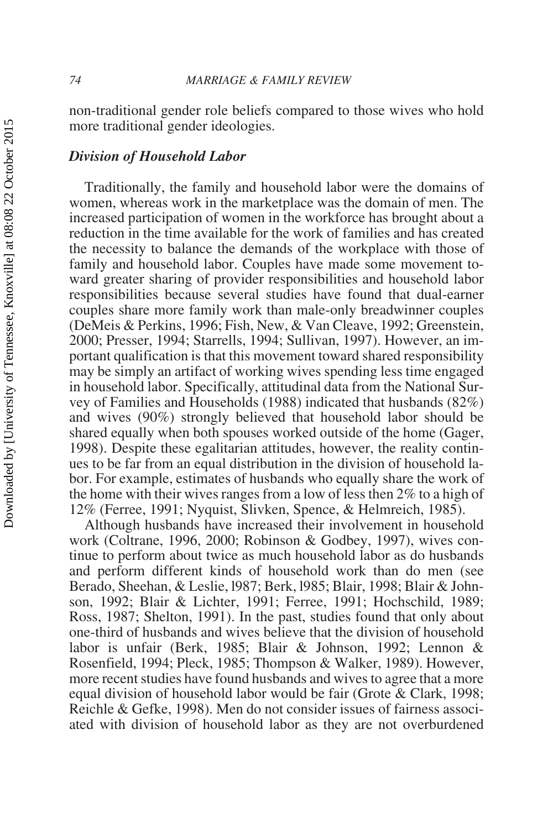non-traditional gender role beliefs compared to those wives who hold more traditional gender ideologies.

## *Division of Household Labor*

Traditionally, the family and household labor were the domains of women, whereas work in the marketplace was the domain of men. The increased participation of women in the workforce has brought about a reduction in the time available for the work of families and has created the necessity to balance the demands of the workplace with those of family and household labor. Couples have made some movement toward greater sharing of provider responsibilities and household labor responsibilities because several studies have found that dual-earner couples share more family work than male-only breadwinner couples (DeMeis & Perkins, 1996; Fish, New, & Van Cleave, 1992; Greenstein, 2000; Presser, 1994; Starrells, 1994; Sullivan, 1997). However, an important qualification is that this movement toward shared responsibility may be simply an artifact of working wives spending less time engaged in household labor. Specifically, attitudinal data from the National Survey of Families and Households (1988) indicated that husbands (82%) and wives (90%) strongly believed that household labor should be shared equally when both spouses worked outside of the home (Gager, 1998). Despite these egalitarian attitudes, however, the reality continues to be far from an equal distribution in the division of household labor. For example, estimates of husbands who equally share the work of the home with their wives ranges from a low of less then 2% to a high of 12% (Ferree, 1991; Nyquist, Slivken, Spence, & Helmreich, 1985).

Although husbands have increased their involvement in household work (Coltrane, 1996, 2000; Robinson & Godbey, 1997), wives continue to perform about twice as much household labor as do husbands and perform different kinds of household work than do men (see Berado, Sheehan, & Leslie, l987; Berk, l985; Blair, 1998; Blair & Johnson, 1992; Blair & Lichter, 1991; Ferree, 1991; Hochschild, 1989; Ross, 1987; Shelton, 1991). In the past, studies found that only about one-third of husbands and wives believe that the division of household labor is unfair (Berk, 1985; Blair & Johnson, 1992; Lennon & Rosenfield, 1994; Pleck, 1985; Thompson & Walker, 1989). However, more recent studies have found husbands and wives to agree that a more equal division of household labor would be fair (Grote & Clark, 1998; Reichle & Gefke, 1998). Men do not consider issues of fairness associated with division of household labor as they are not overburdened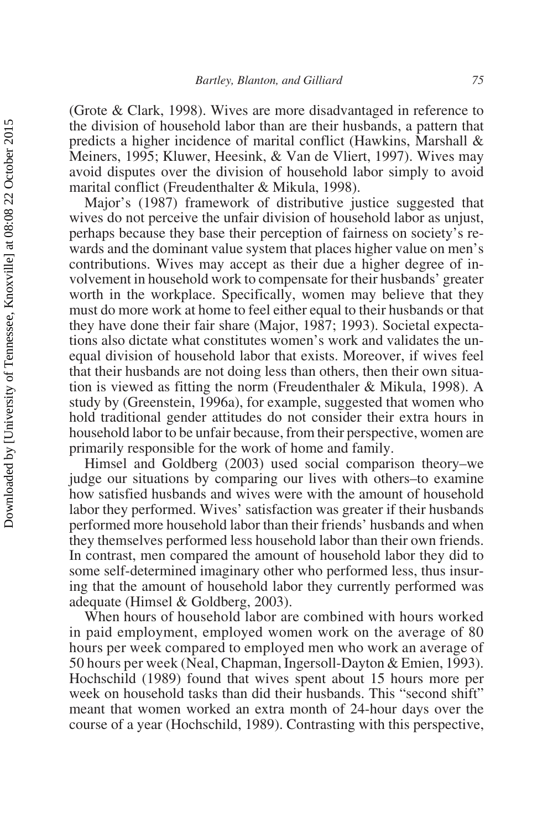(Grote & Clark, 1998). Wives are more disadvantaged in reference to the division of household labor than are their husbands, a pattern that predicts a higher incidence of marital conflict (Hawkins, Marshall & Meiners, 1995; Kluwer, Heesink, & Van de Vliert, 1997). Wives may avoid disputes over the division of household labor simply to avoid marital conflict (Freudenthalter & Mikula, 1998).

Major's (1987) framework of distributive justice suggested that wives do not perceive the unfair division of household labor as unjust, perhaps because they base their perception of fairness on society's rewards and the dominant value system that places higher value on men's contributions. Wives may accept as their due a higher degree of involvement in household work to compensate for their husbands' greater worth in the workplace. Specifically, women may believe that they must do more work at home to feel either equal to their husbands or that they have done their fair share (Major, 1987; 1993). Societal expectations also dictate what constitutes women's work and validates the unequal division of household labor that exists. Moreover, if wives feel that their husbands are not doing less than others, then their own situation is viewed as fitting the norm (Freudenthaler & Mikula, 1998). A study by (Greenstein, 1996a), for example, suggested that women who hold traditional gender attitudes do not consider their extra hours in household labor to be unfair because, from their perspective, women are primarily responsible for the work of home and family.

Himsel and Goldberg (2003) used social comparison theory–we judge our situations by comparing our lives with others–to examine how satisfied husbands and wives were with the amount of household labor they performed. Wives' satisfaction was greater if their husbands performed more household labor than their friends' husbands and when they themselves performed less household labor than their own friends. In contrast, men compared the amount of household labor they did to some self-determined imaginary other who performed less, thus insuring that the amount of household labor they currently performed was adequate (Himsel & Goldberg, 2003).

When hours of household labor are combined with hours worked in paid employment, employed women work on the average of 80 hours per week compared to employed men who work an average of 50 hours per week (Neal, Chapman, Ingersoll-Dayton & Emien, 1993). Hochschild (1989) found that wives spent about 15 hours more per week on household tasks than did their husbands. This "second shift" meant that women worked an extra month of 24-hour days over the course of a year (Hochschild, 1989). Contrasting with this perspective,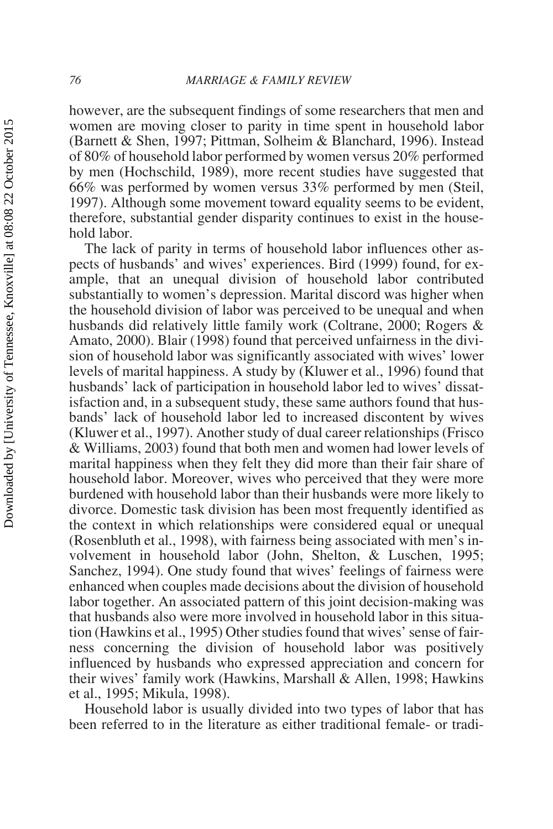however, are the subsequent findings of some researchers that men and women are moving closer to parity in time spent in household labor (Barnett & Shen, 1997; Pittman, Solheim & Blanchard, 1996). Instead of 80% of household labor performed by women versus 20% performed by men (Hochschild, 1989), more recent studies have suggested that 66% was performed by women versus 33% performed by men (Steil, 1997). Although some movement toward equality seems to be evident, therefore, substantial gender disparity continues to exist in the household labor.

The lack of parity in terms of household labor influences other aspects of husbands' and wives' experiences. Bird (1999) found, for example, that an unequal division of household labor contributed substantially to women's depression. Marital discord was higher when the household division of labor was perceived to be unequal and when husbands did relatively little family work (Coltrane, 2000; Rogers & Amato, 2000). Blair (1998) found that perceived unfairness in the division of household labor was significantly associated with wives' lower levels of marital happiness. A study by (Kluwer et al., 1996) found that husbands' lack of participation in household labor led to wives' dissatisfaction and, in a subsequent study, these same authors found that husbands' lack of household labor led to increased discontent by wives (Kluwer et al., 1997). Another study of dual career relationships (Frisco & Williams, 2003) found that both men and women had lower levels of marital happiness when they felt they did more than their fair share of household labor. Moreover, wives who perceived that they were more burdened with household labor than their husbands were more likely to divorce. Domestic task division has been most frequently identified as the context in which relationships were considered equal or unequal (Rosenbluth et al., 1998), with fairness being associated with men's involvement in household labor (John, Shelton, & Luschen, 1995; Sanchez, 1994). One study found that wives' feelings of fairness were enhanced when couples made decisions about the division of household labor together. An associated pattern of this joint decision-making was that husbands also were more involved in household labor in this situation (Hawkins et al., 1995) Other studies found that wives' sense of fairness concerning the division of household labor was positively influenced by husbands who expressed appreciation and concern for their wives' family work (Hawkins, Marshall & Allen, 1998; Hawkins et al., 1995; Mikula, 1998).

Household labor is usually divided into two types of labor that has been referred to in the literature as either traditional female- or tradi-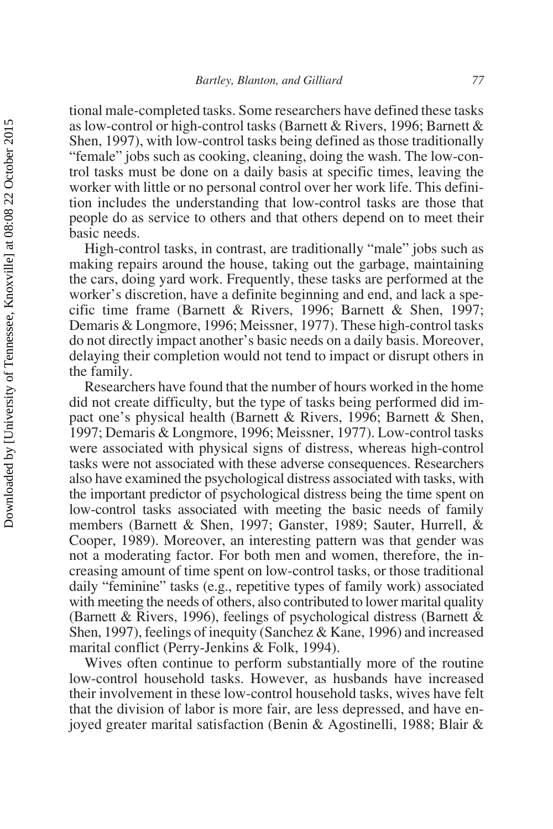tional male-completed tasks. Some researchers have defined these tasks as low-control or high-control tasks (Barnett & Rivers, 1996; Barnett & Shen, 1997), with low-control tasks being defined as those traditionally "female" jobs such as cooking, cleaning, doing the wash. The low-control tasks must be done on a daily basis at specific times, leaving the worker with little or no personal control over her work life. This definition includes the understanding that low-control tasks are those that people do as service to others and that others depend on to meet their basic needs.

High-control tasks, in contrast, are traditionally "male" jobs such as making repairs around the house, taking out the garbage, maintaining the cars, doing yard work. Frequently, these tasks are performed at the worker's discretion, have a definite beginning and end, and lack a specific time frame (Barnett & Rivers, 1996; Barnett & Shen, 1997; Demaris & Longmore, 1996; Meissner, 1977). These high-control tasks do not directly impact another's basic needs on a daily basis. Moreover, delaying their completion would not tend to impact or disrupt others in the family.

Researchers have found that the number of hours worked in the home did not create difficulty, but the type of tasks being performed did impact one's physical health (Barnett & Rivers, 1996; Barnett & Shen, 1997; Demaris & Longmore, 1996; Meissner, 1977). Low-control tasks were associated with physical signs of distress, whereas high-control tasks were not associated with these adverse consequences. Researchers also have examined the psychological distress associated with tasks, with the important predictor of psychological distress being the time spent on low-control tasks associated with meeting the basic needs of family members (Barnett & Shen, 1997; Ganster, 1989; Sauter, Hurrell, & Cooper, 1989). Moreover, an interesting pattern was that gender was not a moderating factor. For both men and women, therefore, the increasing amount of time spent on low-control tasks, or those traditional daily "feminine" tasks (e.g., repetitive types of family work) associated with meeting the needs of others, also contributed to lower marital quality (Barnett & Rivers, 1996), feelings of psychological distress (Barnett & Shen, 1997), feelings of inequity (Sanchez & Kane, 1996) and increased marital conflict (Perry-Jenkins & Folk, 1994).

Wives often continue to perform substantially more of the routine low-control household tasks. However, as husbands have increased their involvement in these low-control household tasks, wives have felt that the division of labor is more fair, are less depressed, and have enjoyed greater marital satisfaction (Benin & Agostinelli, 1988; Blair &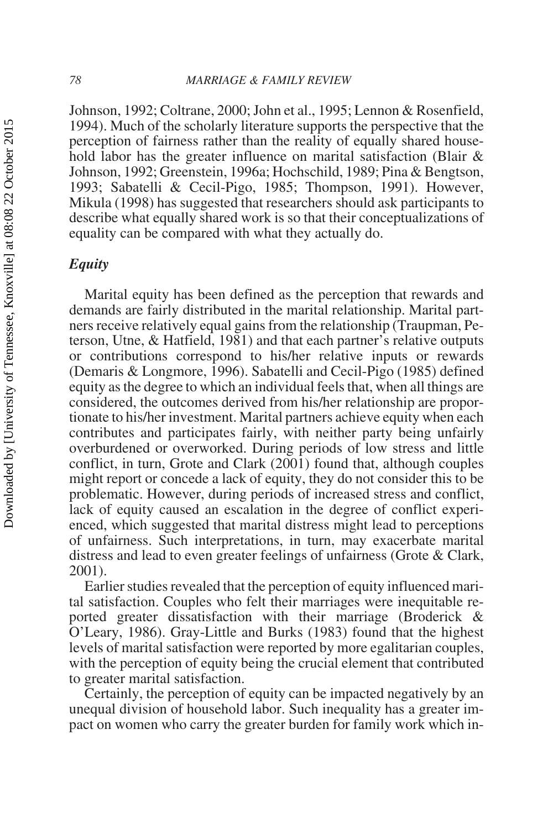Johnson, 1992; Coltrane, 2000; John et al., 1995; Lennon & Rosenfield, 1994). Much of the scholarly literature supports the perspective that the perception of fairness rather than the reality of equally shared household labor has the greater influence on marital satisfaction (Blair & Johnson, 1992; Greenstein, 1996a; Hochschild, 1989; Pina & Bengtson, 1993; Sabatelli & Cecil-Pigo, 1985; Thompson, 1991). However, Mikula (1998) has suggested that researchers should ask participants to describe what equally shared work is so that their conceptualizations of equality can be compared with what they actually do.

## *Equity*

Marital equity has been defined as the perception that rewards and demands are fairly distributed in the marital relationship. Marital partners receive relatively equal gains from the relationship (Traupman, Peterson, Utne, & Hatfield, 1981) and that each partner's relative outputs or contributions correspond to his/her relative inputs or rewards (Demaris & Longmore, 1996). Sabatelli and Cecil-Pigo (1985) defined equity as the degree to which an individual feels that, when all things are considered, the outcomes derived from his/her relationship are proportionate to his/her investment. Marital partners achieve equity when each contributes and participates fairly, with neither party being unfairly overburdened or overworked. During periods of low stress and little conflict, in turn, Grote and Clark (2001) found that, although couples might report or concede a lack of equity, they do not consider this to be problematic. However, during periods of increased stress and conflict, lack of equity caused an escalation in the degree of conflict experienced, which suggested that marital distress might lead to perceptions of unfairness. Such interpretations, in turn, may exacerbate marital distress and lead to even greater feelings of unfairness (Grote & Clark, 2001).

Earlier studies revealed that the perception of equity influenced marital satisfaction. Couples who felt their marriages were inequitable reported greater dissatisfaction with their marriage (Broderick & O'Leary, 1986). Gray-Little and Burks (1983) found that the highest levels of marital satisfaction were reported by more egalitarian couples, with the perception of equity being the crucial element that contributed to greater marital satisfaction.

Certainly, the perception of equity can be impacted negatively by an unequal division of household labor. Such inequality has a greater impact on women who carry the greater burden for family work which in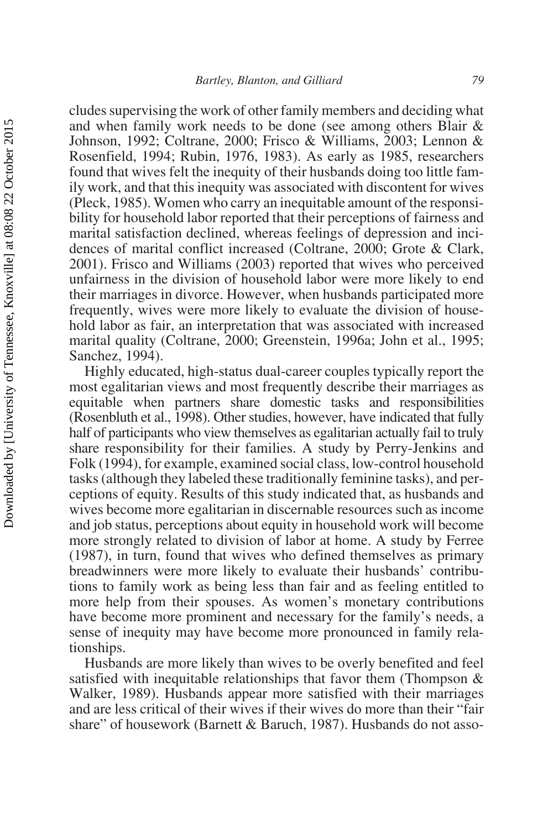cludes supervising the work of other family members and deciding what and when family work needs to be done (see among others Blair & Johnson, 1992; Coltrane, 2000; Frisco & Williams, 2003; Lennon & Rosenfield, 1994; Rubin, 1976, 1983). As early as 1985, researchers found that wives felt the inequity of their husbands doing too little family work, and that this inequity was associated with discontent for wives (Pleck, 1985). Women who carry an inequitable amount of the responsibility for household labor reported that their perceptions of fairness and marital satisfaction declined, whereas feelings of depression and incidences of marital conflict increased (Coltrane, 2000; Grote & Clark, 2001). Frisco and Williams (2003) reported that wives who perceived unfairness in the division of household labor were more likely to end their marriages in divorce. However, when husbands participated more frequently, wives were more likely to evaluate the division of household labor as fair, an interpretation that was associated with increased marital quality (Coltrane, 2000; Greenstein, 1996a; John et al., 1995; Sanchez, 1994).

Highly educated, high-status dual-career couples typically report the most egalitarian views and most frequently describe their marriages as equitable when partners share domestic tasks and responsibilities (Rosenbluth et al., 1998). Other studies, however, have indicated that fully half of participants who view themselves as egalitarian actually fail to truly share responsibility for their families. A study by Perry-Jenkins and Folk (1994), for example, examined social class, low-control household tasks (although they labeled these traditionally feminine tasks), and perceptions of equity. Results of this study indicated that, as husbands and wives become more egalitarian in discernable resources such as income and job status, perceptions about equity in household work will become more strongly related to division of labor at home. A study by Ferree (1987), in turn, found that wives who defined themselves as primary breadwinners were more likely to evaluate their husbands' contributions to family work as being less than fair and as feeling entitled to more help from their spouses. As women's monetary contributions have become more prominent and necessary for the family's needs, a sense of inequity may have become more pronounced in family relationships.

Husbands are more likely than wives to be overly benefited and feel satisfied with inequitable relationships that favor them (Thompson  $\&$ Walker, 1989). Husbands appear more satisfied with their marriages and are less critical of their wives if their wives do more than their "fair share" of housework (Barnett & Baruch, 1987). Husbands do not asso-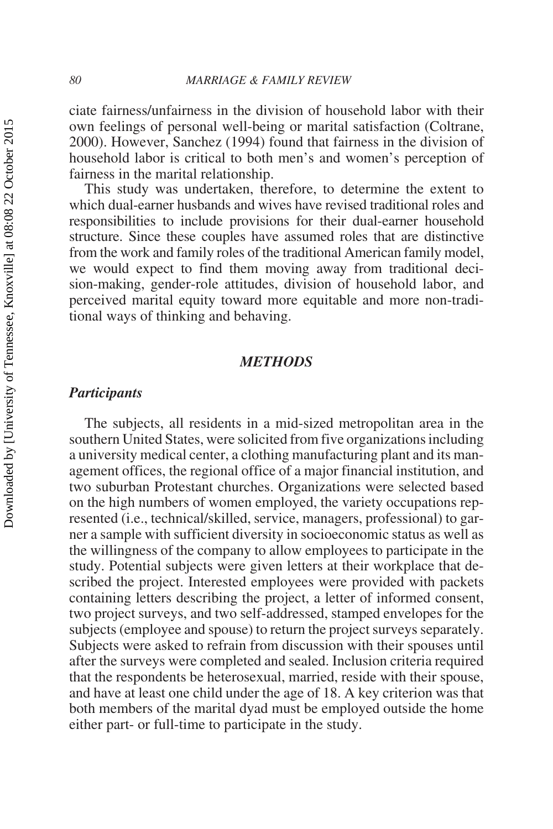ciate fairness/unfairness in the division of household labor with their own feelings of personal well-being or marital satisfaction (Coltrane, 2000). However, Sanchez (1994) found that fairness in the division of household labor is critical to both men's and women's perception of fairness in the marital relationship.

This study was undertaken, therefore, to determine the extent to which dual-earner husbands and wives have revised traditional roles and responsibilities to include provisions for their dual-earner household structure. Since these couples have assumed roles that are distinctive from the work and family roles of the traditional American family model, we would expect to find them moving away from traditional decision-making, gender-role attitudes, division of household labor, and perceived marital equity toward more equitable and more non-traditional ways of thinking and behaving.

## *METHODS*

## *Participants*

The subjects, all residents in a mid-sized metropolitan area in the southern United States, were solicited from five organizations including a university medical center, a clothing manufacturing plant and its management offices, the regional office of a major financial institution, and two suburban Protestant churches. Organizations were selected based on the high numbers of women employed, the variety occupations represented (i.e., technical/skilled, service, managers, professional) to garner a sample with sufficient diversity in socioeconomic status as well as the willingness of the company to allow employees to participate in the study. Potential subjects were given letters at their workplace that described the project. Interested employees were provided with packets containing letters describing the project, a letter of informed consent, two project surveys, and two self-addressed, stamped envelopes for the subjects (employee and spouse) to return the project surveys separately. Subjects were asked to refrain from discussion with their spouses until after the surveys were completed and sealed. Inclusion criteria required that the respondents be heterosexual, married, reside with their spouse, and have at least one child under the age of 18. A key criterion was that both members of the marital dyad must be employed outside the home either part- or full-time to participate in the study.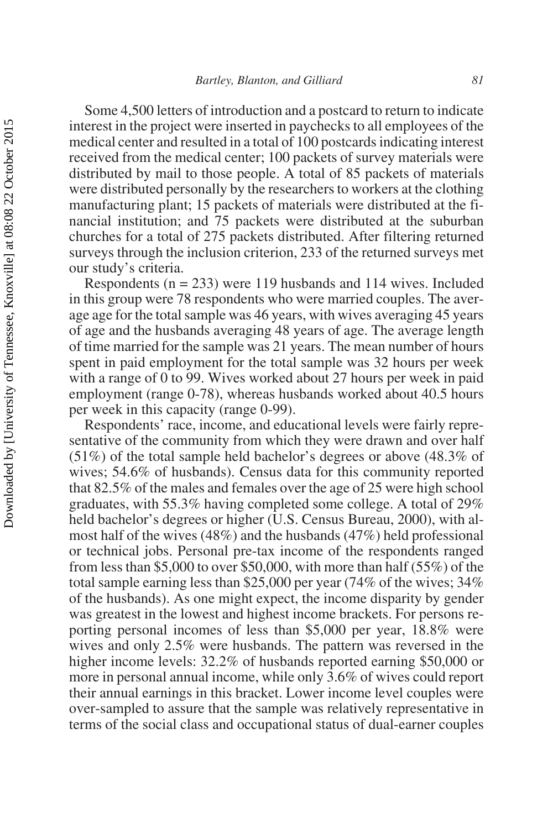Some 4,500 letters of introduction and a postcard to return to indicate interest in the project were inserted in paychecks to all employees of the medical center and resulted in a total of 100 postcards indicating interest received from the medical center; 100 packets of survey materials were distributed by mail to those people. A total of 85 packets of materials were distributed personally by the researchers to workers at the clothing manufacturing plant; 15 packets of materials were distributed at the financial institution; and 75 packets were distributed at the suburban churches for a total of 275 packets distributed. After filtering returned surveys through the inclusion criterion, 233 of the returned surveys met our study's criteria.

Respondents ( $n = 233$ ) were 119 husbands and 114 wives. Included in this group were 78 respondents who were married couples. The average age for the total sample was 46 years, with wives averaging 45 years of age and the husbands averaging 48 years of age. The average length of time married for the sample was 21 years. The mean number of hours spent in paid employment for the total sample was 32 hours per week with a range of 0 to 99. Wives worked about 27 hours per week in paid employment (range 0-78), whereas husbands worked about 40.5 hours per week in this capacity (range 0-99).

Respondents' race, income, and educational levels were fairly representative of the community from which they were drawn and over half (51%) of the total sample held bachelor's degrees or above (48.3% of wives; 54.6% of husbands). Census data for this community reported that 82.5% of the males and females over the age of 25 were high school graduates, with 55.3% having completed some college. A total of 29% held bachelor's degrees or higher (U.S. Census Bureau, 2000), with almost half of the wives (48%) and the husbands (47%) held professional or technical jobs. Personal pre-tax income of the respondents ranged from less than \$5,000 to over \$50,000, with more than half (55%) of the total sample earning less than \$25,000 per year (74% of the wives; 34% of the husbands). As one might expect, the income disparity by gender was greatest in the lowest and highest income brackets. For persons reporting personal incomes of less than \$5,000 per year, 18.8% were wives and only 2.5% were husbands. The pattern was reversed in the higher income levels: 32.2% of husbands reported earning \$50,000 or more in personal annual income, while only 3.6% of wives could report their annual earnings in this bracket. Lower income level couples were over-sampled to assure that the sample was relatively representative in terms of the social class and occupational status of dual-earner couples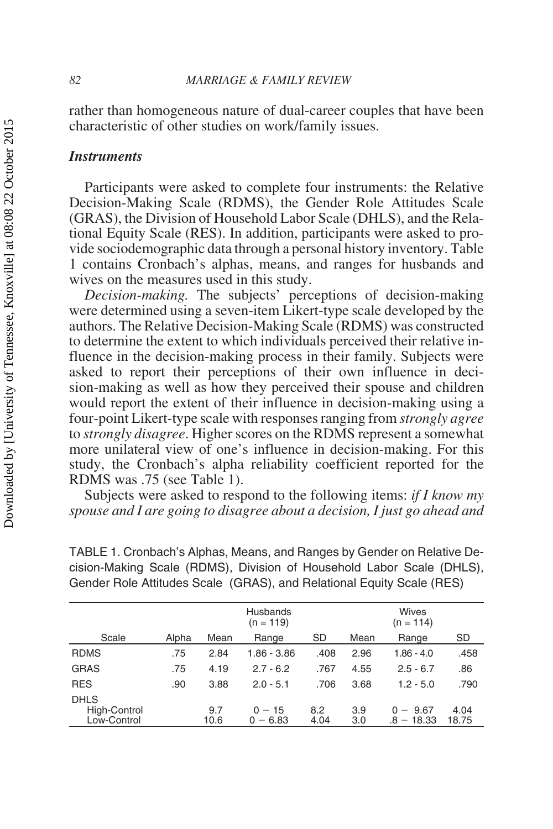rather than homogeneous nature of dual-career couples that have been characteristic of other studies on work/family issues.

## *Instruments*

Participants were asked to complete four instruments: the Relative Decision-Making Scale (RDMS), the Gender Role Attitudes Scale (GRAS), the Division of Household Labor Scale (DHLS), and the Relational Equity Scale (RES). In addition, participants were asked to provide sociodemographic data through a personal history inventory. Table 1 contains Cronbach's alphas, means, and ranges for husbands and wives on the measures used in this study.

*Decision-making.* The subjects' perceptions of decision-making were determined using a seven-item Likert-type scale developed by the authors. The Relative Decision-Making Scale (RDMS) was constructed to determine the extent to which individuals perceived their relative influence in the decision-making process in their family. Subjects were asked to report their perceptions of their own influence in decision-making as well as how they perceived their spouse and children would report the extent of their influence in decision-making using a four-point Likert-type scale with responses ranging from *strongly agree* to *strongly disagree*. Higher scores on the RDMS represent a somewhat more unilateral view of one's influence in decision-making. For this study, the Cronbach's alpha reliability coefficient reported for the RDMS was .75 (see Table 1).

Subjects were asked to respond to the following items: *if I know my spouse and I are going to disagree about a decision, I just go ahead and*

TABLE 1. Cronbach's Alphas, Means, and Ranges by Gender on Relative Decision-Making Scale (RDMS), Division of Household Labor Scale (DHLS), Gender Role Attitudes Scale (GRAS), and Relational Equity Scale (RES)

|                                            |       |             | <b>Husbands</b><br>$(n = 119)$ |             |            | Wives<br>$(n = 114)$          |               |
|--------------------------------------------|-------|-------------|--------------------------------|-------------|------------|-------------------------------|---------------|
| Scale                                      | Alpha | Mean        | Range                          | SD          | Mean       | Range                         | SD            |
| <b>RDMS</b>                                | .75   | 2.84        | 1.86 - 3.86                    | .408        | 2.96       | $1.86 - 4.0$                  | .458          |
| <b>GRAS</b>                                | .75   | 4.19        | $2.7 - 6.2$                    | .767        | 4.55       | $2.5 - 6.7$                   | .86           |
| <b>RES</b>                                 | .90   | 3.88        | $2.0 - 5.1$                    | .706        | 3.68       | $1.2 - 5.0$                   | .790          |
| <b>DHLS</b><br>High-Control<br>Low-Control |       | 9.7<br>10.6 | $0 - 15$<br>$0 - 6.83$         | 8.2<br>4.04 | 3.9<br>3.0 | 9.67<br>$0 -$<br>$.8 - 18.33$ | 4.04<br>18.75 |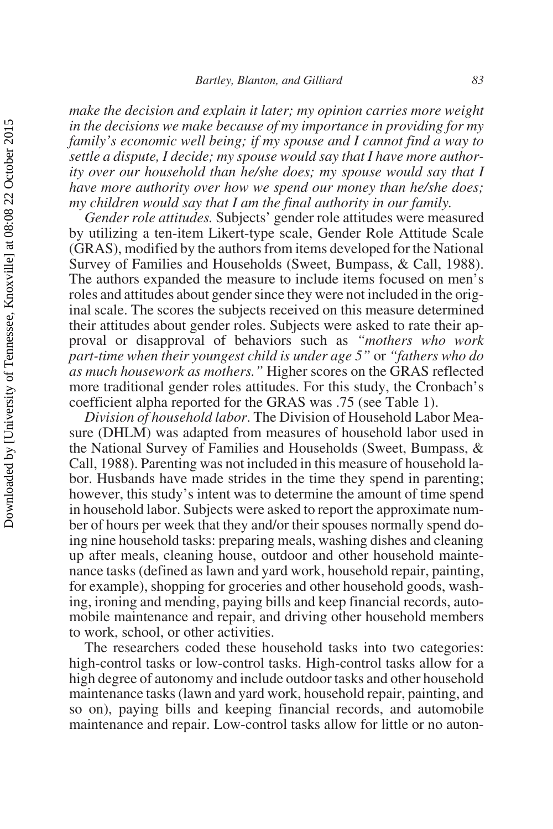*make the decision and explain it later; my opinion carries more weight in the decisions we make because of my importance in providing for my family's economic well being; if my spouse and I cannot find a way to settle a dispute, I decide; my spouse would say that I have more authority over our household than he/she does; my spouse would say that I have more authority over how we spend our money than he/she does; my children would say that I am the final authority in our family.*

*Gender role attitudes.* Subjects' gender role attitudes were measured by utilizing a ten-item Likert-type scale, Gender Role Attitude Scale (GRAS), modified by the authors from items developed for the National Survey of Families and Households (Sweet, Bumpass, & Call, 1988). The authors expanded the measure to include items focused on men's roles and attitudes about gender since they were not included in the original scale. The scores the subjects received on this measure determined their attitudes about gender roles. Subjects were asked to rate their approval or disapproval of behaviors such as *"mothers who work part-time when their youngest child is under age 5"* or *"fathers who do as much housework as mothers."* Higher scores on the GRAS reflected more traditional gender roles attitudes. For this study, the Cronbach's coefficient alpha reported for the GRAS was .75 (see Table 1).

*Division of household labor*. The Division of Household Labor Measure (DHLM) was adapted from measures of household labor used in the National Survey of Families and Households (Sweet, Bumpass, & Call, 1988). Parenting was not included in this measure of household labor. Husbands have made strides in the time they spend in parenting; however, this study's intent was to determine the amount of time spend in household labor. Subjects were asked to report the approximate number of hours per week that they and/or their spouses normally spend doing nine household tasks: preparing meals, washing dishes and cleaning up after meals, cleaning house, outdoor and other household maintenance tasks (defined as lawn and yard work, household repair, painting, for example), shopping for groceries and other household goods, washing, ironing and mending, paying bills and keep financial records, automobile maintenance and repair, and driving other household members to work, school, or other activities.

The researchers coded these household tasks into two categories: high-control tasks or low-control tasks. High-control tasks allow for a high degree of autonomy and include outdoor tasks and other household maintenance tasks (lawn and yard work, household repair, painting, and so on), paying bills and keeping financial records, and automobile maintenance and repair. Low-control tasks allow for little or no auton-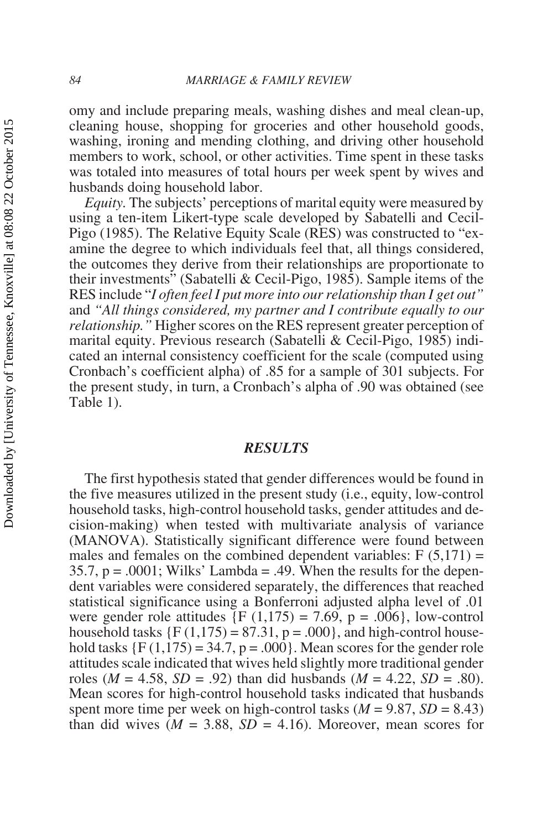omy and include preparing meals, washing dishes and meal clean-up, cleaning house, shopping for groceries and other household goods, washing, ironing and mending clothing, and driving other household members to work, school, or other activities. Time spent in these tasks was totaled into measures of total hours per week spent by wives and husbands doing household labor.

*Equity.* The subjects' perceptions of marital equity were measured by using a ten-item Likert-type scale developed by Sabatelli and Cecil-Pigo (1985). The Relative Equity Scale (RES) was constructed to "examine the degree to which individuals feel that, all things considered, the outcomes they derive from their relationships are proportionate to their investments" (Sabatelli & Cecil-Pigo, 1985). Sample items of the RES include "*I often feel I put more into our relationship than I get out"* and *"All things considered, my partner and I contribute equally to our relationship."* Higher scores on the RES represent greater perception of marital equity. Previous research (Sabatelli & Cecil-Pigo, 1985) indicated an internal consistency coefficient for the scale (computed using Cronbach's coefficient alpha) of .85 for a sample of 301 subjects. For the present study, in turn, a Cronbach's alpha of .90 was obtained (see Table 1).

## *RESULTS*

The first hypothesis stated that gender differences would be found in the five measures utilized in the present study (i.e., equity, low-control household tasks, high-control household tasks, gender attitudes and decision-making) when tested with multivariate analysis of variance (MANOVA). Statistically significant difference were found between males and females on the combined dependent variables:  $F(5,171) =$ 35.7,  $p = .0001$ ; Wilks' Lambda = .49. When the results for the dependent variables were considered separately, the differences that reached statistical significance using a Bonferroni adjusted alpha level of .01 were gender role attitudes  ${F (1,175) = 7.69, p = .006}$ , low-control household tasks  $\{F(1,175) = 87.31, p = .000\}$ , and high-control household tasks  $\{F(1,175) = 34.7, p = .000\}$ . Mean scores for the gender role attitudes scale indicated that wives held slightly more traditional gender roles (*M* = 4.58, *SD* = .92) than did husbands (*M* = 4.22, *SD* = .80). Mean scores for high-control household tasks indicated that husbands spent more time per week on high-control tasks  $(M = 9.87, SD = 8.43)$ than did wives  $(M = 3.88, SD = 4.16)$ . Moreover, mean scores for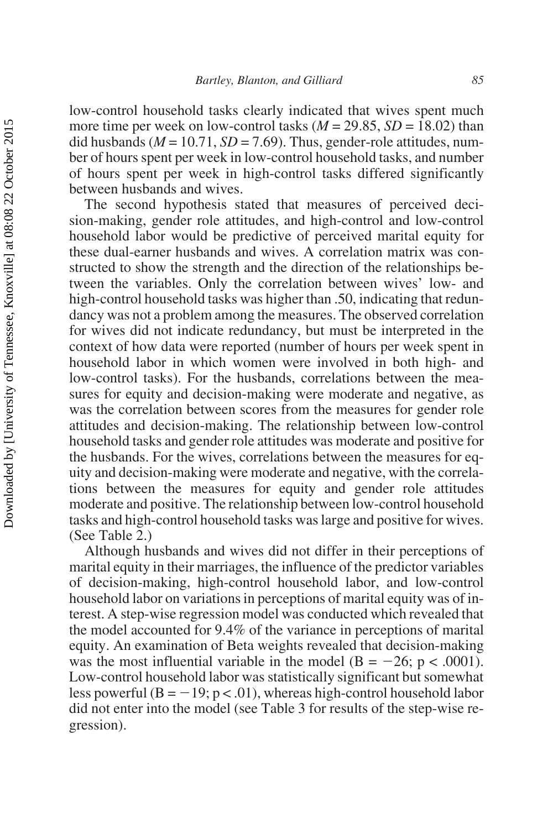low-control household tasks clearly indicated that wives spent much more time per week on low-control tasks  $(M = 29.85, SD = 18.02)$  than did husbands ( $M = 10.71$ ,  $SD = 7.69$ ). Thus, gender-role attitudes, number of hours spent per week in low-control household tasks, and number of hours spent per week in high-control tasks differed significantly between husbands and wives.

The second hypothesis stated that measures of perceived decision-making, gender role attitudes, and high-control and low-control household labor would be predictive of perceived marital equity for these dual-earner husbands and wives. A correlation matrix was constructed to show the strength and the direction of the relationships between the variables. Only the correlation between wives' low- and high-control household tasks was higher than .50, indicating that redundancy was not a problem among the measures. The observed correlation for wives did not indicate redundancy, but must be interpreted in the context of how data were reported (number of hours per week spent in household labor in which women were involved in both high- and low-control tasks). For the husbands, correlations between the measures for equity and decision-making were moderate and negative, as was the correlation between scores from the measures for gender role attitudes and decision-making. The relationship between low-control household tasks and gender role attitudes was moderate and positive for the husbands. For the wives, correlations between the measures for equity and decision-making were moderate and negative, with the correlations between the measures for equity and gender role attitudes moderate and positive. The relationship between low-control household tasks and high-control household tasks was large and positive for wives. (See Table 2.)

Although husbands and wives did not differ in their perceptions of marital equity in their marriages, the influence of the predictor variables of decision-making, high-control household labor, and low-control household labor on variations in perceptions of marital equity was of interest. A step-wise regression model was conducted which revealed that the model accounted for 9.4% of the variance in perceptions of marital equity. An examination of Beta weights revealed that decision-making was the most influential variable in the model ( $B = -26$ ;  $p < .0001$ ). Low-control household labor was statistically significant but somewhat less powerful ( $B = -19$ ;  $p < .01$ ), whereas high-control household labor did not enter into the model (see Table 3 for results of the step-wise regression).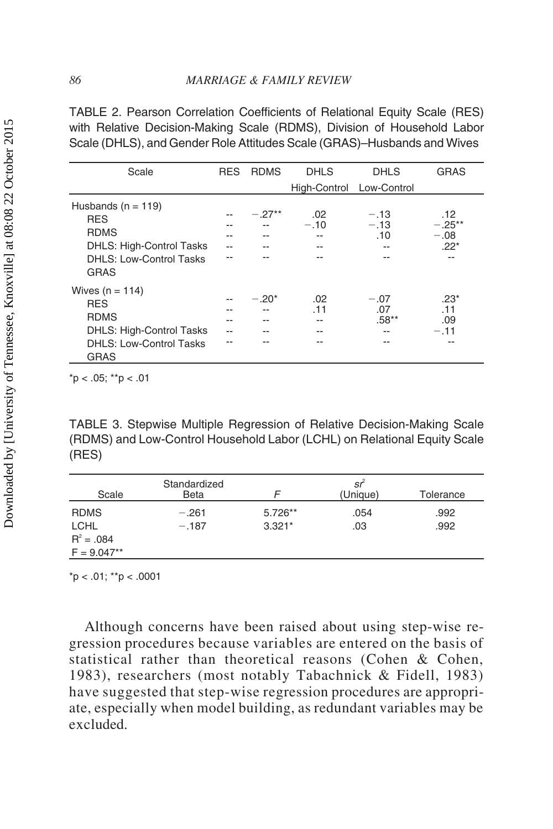TABLE 2. Pearson Correlation Coefficients of Relational Equity Scale (RES) with Relative Decision-Making Scale (RDMS), Division of Household Labor Scale (DHLS), and Gender Role Attitudes Scale (GRAS)–Husbands and Wives

| Scale                                                                                                                              | <b>RES</b> | <b>RDMS</b>   | <b>DHLS</b>         | <b>DHLS</b>              | GRAS                                |
|------------------------------------------------------------------------------------------------------------------------------------|------------|---------------|---------------------|--------------------------|-------------------------------------|
|                                                                                                                                    |            |               | High-Control        | Low-Control              |                                     |
| Husbands ( $n = 119$ )<br><b>RES</b><br><b>RDMS</b><br><b>DHLS: High-Control Tasks</b><br><b>DHLS: Low-Control Tasks</b><br>GRAS   |            | $-27**$       | .02<br>$-.10$<br>-- | $-.13$<br>$-.13$<br>.10  | .12<br>$-.25**$<br>$-.08$<br>$.22*$ |
| Wives $(n = 114)$<br><b>RES</b><br><b>RDMS</b><br><b>DHLS: High-Control Tasks</b><br><b>DHLS: Low-Control Tasks</b><br><b>GRAS</b> |            | $-.20*$<br>-- | .02<br>.11<br>--    | $-.07$<br>.07<br>$.58**$ | $.23*$<br>.11<br>.09<br>$-.11$      |

 $*$ p < .05;  $*$  $*$ p < .01

TABLE 3. Stepwise Multiple Regression of Relative Decision-Making Scale (RDMS) and Low-Control Household Labor (LCHL) on Relational Equity Scale (RES)

| Scale                                                        | Standardized<br>Beta |                     | sŕ<br>(Unique) | Tolerance    |
|--------------------------------------------------------------|----------------------|---------------------|----------------|--------------|
| <b>RDMS</b><br><b>LCHL</b><br>$R^2 = .084$<br>$F = 9.047***$ | $-.261$<br>$-.187$   | 5.726**<br>$3.321*$ | .054<br>.03    | .992<br>.992 |

 $*p < .01; **p < .0001$ 

Although concerns have been raised about using step-wise regression procedures because variables are entered on the basis of statistical rather than theoretical reasons (Cohen & Cohen, 1983), researchers (most notably Tabachnick & Fidell, 1983) have suggested that step-wise regression procedures are appropriate, especially when model building, as redundant variables may be excluded.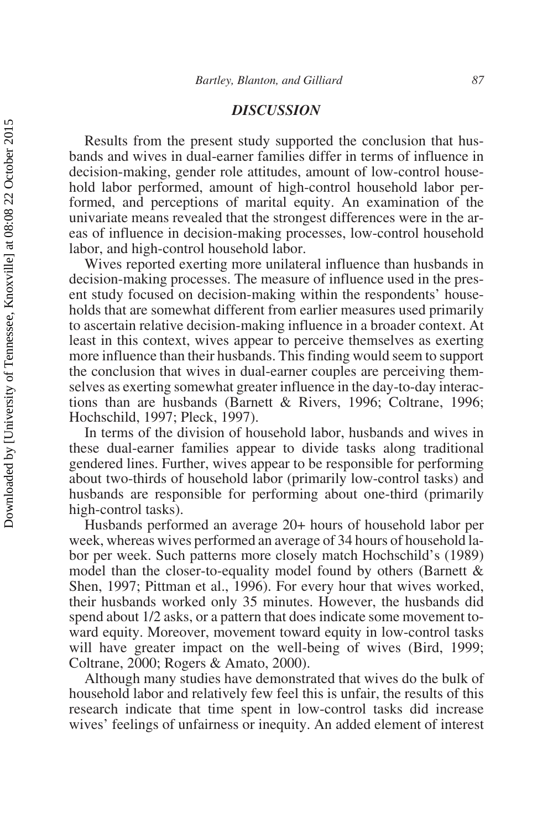## *DISCUSSION*

Results from the present study supported the conclusion that husbands and wives in dual-earner families differ in terms of influence in decision-making, gender role attitudes, amount of low-control household labor performed, amount of high-control household labor performed, and perceptions of marital equity. An examination of the univariate means revealed that the strongest differences were in the areas of influence in decision-making processes, low-control household labor, and high-control household labor.

Wives reported exerting more unilateral influence than husbands in decision-making processes. The measure of influence used in the present study focused on decision-making within the respondents' households that are somewhat different from earlier measures used primarily to ascertain relative decision-making influence in a broader context. At least in this context, wives appear to perceive themselves as exerting more influence than their husbands. This finding would seem to support the conclusion that wives in dual-earner couples are perceiving themselves as exerting somewhat greater influence in the day-to-day interactions than are husbands (Barnett & Rivers, 1996; Coltrane, 1996; Hochschild, 1997; Pleck, 1997).

In terms of the division of household labor, husbands and wives in these dual-earner families appear to divide tasks along traditional gendered lines. Further, wives appear to be responsible for performing about two-thirds of household labor (primarily low-control tasks) and husbands are responsible for performing about one-third (primarily high-control tasks).

Husbands performed an average 20+ hours of household labor per week, whereas wives performed an average of 34 hours of household labor per week. Such patterns more closely match Hochschild's (1989) model than the closer-to-equality model found by others (Barnett & Shen, 1997; Pittman et al., 1996). For every hour that wives worked, their husbands worked only 35 minutes. However, the husbands did spend about 1/2 asks, or a pattern that does indicate some movement toward equity. Moreover, movement toward equity in low-control tasks will have greater impact on the well-being of wives (Bird, 1999; Coltrane, 2000; Rogers & Amato, 2000).

Although many studies have demonstrated that wives do the bulk of household labor and relatively few feel this is unfair, the results of this research indicate that time spent in low-control tasks did increase wives' feelings of unfairness or inequity. An added element of interest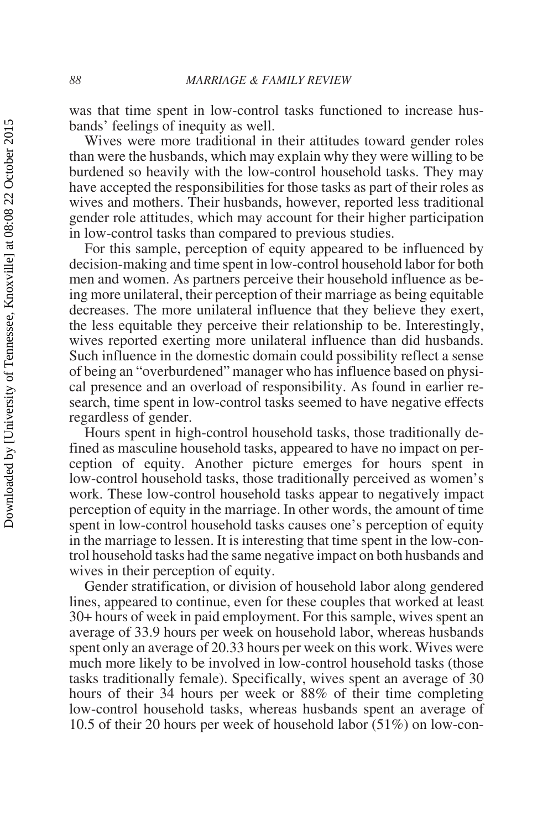was that time spent in low-control tasks functioned to increase husbands' feelings of inequity as well.

Wives were more traditional in their attitudes toward gender roles than were the husbands, which may explain why they were willing to be burdened so heavily with the low-control household tasks. They may have accepted the responsibilities for those tasks as part of their roles as wives and mothers. Their husbands, however, reported less traditional gender role attitudes, which may account for their higher participation in low-control tasks than compared to previous studies.

For this sample, perception of equity appeared to be influenced by decision-making and time spent in low-control household labor for both men and women. As partners perceive their household influence as being more unilateral, their perception of their marriage as being equitable decreases. The more unilateral influence that they believe they exert, the less equitable they perceive their relationship to be. Interestingly, wives reported exerting more unilateral influence than did husbands. Such influence in the domestic domain could possibility reflect a sense of being an "overburdened" manager who has influence based on physical presence and an overload of responsibility. As found in earlier research, time spent in low-control tasks seemed to have negative effects regardless of gender.

Hours spent in high-control household tasks, those traditionally defined as masculine household tasks, appeared to have no impact on perception of equity. Another picture emerges for hours spent in low-control household tasks, those traditionally perceived as women's work. These low-control household tasks appear to negatively impact perception of equity in the marriage. In other words, the amount of time spent in low-control household tasks causes one's perception of equity in the marriage to lessen. It is interesting that time spent in the low-control household tasks had the same negative impact on both husbands and wives in their perception of equity.

Gender stratification, or division of household labor along gendered lines, appeared to continue, even for these couples that worked at least 30+ hours of week in paid employment. For this sample, wives spent an average of 33.9 hours per week on household labor, whereas husbands spent only an average of 20.33 hours per week on this work. Wives were much more likely to be involved in low-control household tasks (those tasks traditionally female). Specifically, wives spent an average of 30 hours of their 34 hours per week or 88% of their time completing low-control household tasks, whereas husbands spent an average of 10.5 of their 20 hours per week of household labor (51%) on low-con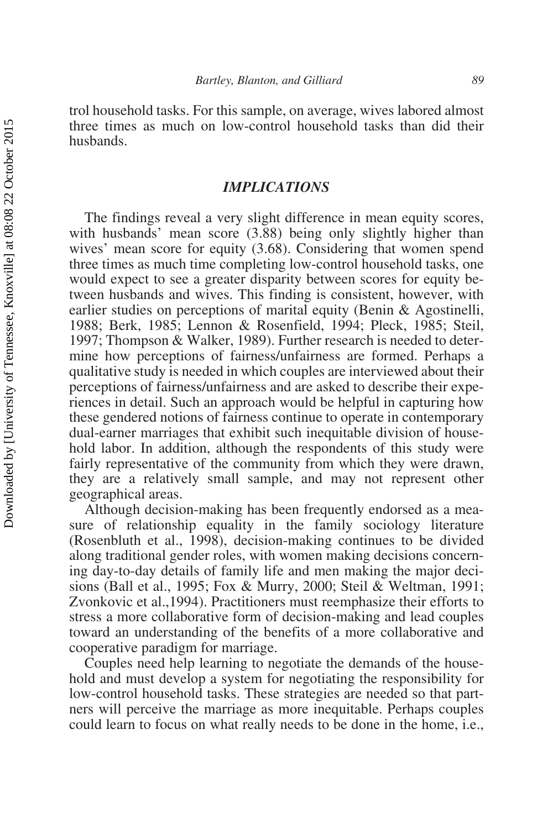trol household tasks. For this sample, on average, wives labored almost three times as much on low-control household tasks than did their husbands.

## *IMPLICATIONS*

The findings reveal a very slight difference in mean equity scores, with husbands' mean score (3.88) being only slightly higher than wives' mean score for equity (3.68). Considering that women spend three times as much time completing low-control household tasks, one would expect to see a greater disparity between scores for equity between husbands and wives. This finding is consistent, however, with earlier studies on perceptions of marital equity (Benin & Agostinelli, 1988; Berk, 1985; Lennon & Rosenfield, 1994; Pleck, 1985; Steil, 1997; Thompson & Walker, 1989). Further research is needed to determine how perceptions of fairness/unfairness are formed. Perhaps a qualitative study is needed in which couples are interviewed about their perceptions of fairness/unfairness and are asked to describe their experiences in detail. Such an approach would be helpful in capturing how these gendered notions of fairness continue to operate in contemporary dual-earner marriages that exhibit such inequitable division of household labor. In addition, although the respondents of this study were fairly representative of the community from which they were drawn, they are a relatively small sample, and may not represent other geographical areas.

Although decision-making has been frequently endorsed as a measure of relationship equality in the family sociology literature (Rosenbluth et al., 1998), decision-making continues to be divided along traditional gender roles, with women making decisions concerning day-to-day details of family life and men making the major decisions (Ball et al., 1995; Fox & Murry, 2000; Steil & Weltman, 1991; Zvonkovic et al.,1994). Practitioners must reemphasize their efforts to stress a more collaborative form of decision-making and lead couples toward an understanding of the benefits of a more collaborative and cooperative paradigm for marriage.

Couples need help learning to negotiate the demands of the household and must develop a system for negotiating the responsibility for low-control household tasks. These strategies are needed so that partners will perceive the marriage as more inequitable. Perhaps couples could learn to focus on what really needs to be done in the home, i.e.,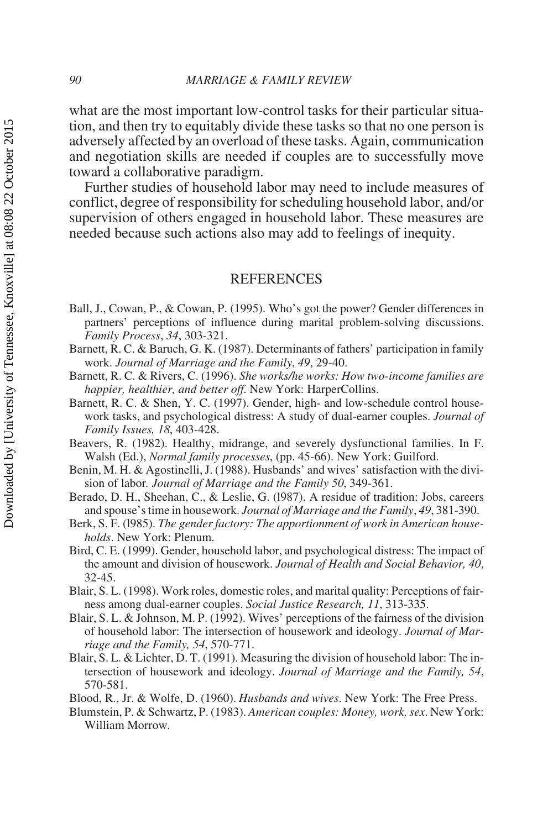what are the most important low-control tasks for their particular situation, and then try to equitably divide these tasks so that no one person is adversely affected by an overload of these tasks. Again, communication and negotiation skills are needed if couples are to successfully move toward a collaborative paradigm.

Further studies of household labor may need to include measures of conflict, degree of responsibility for scheduling household labor, and/or supervision of others engaged in household labor. These measures are needed because such actions also may add to feelings of inequity.

#### REFERENCES

- Ball, J., Cowan, P., & Cowan, P. (1995). Who's got the power? Gender differences in partners' perceptions of influence during marital problem-solving discussions. *Family Process*, *34*, 303-321.
- Barnett, R. C. & Baruch, G. K. (1987). Determinants of fathers' participation in family work. *Journal of Marriage and the Family*, *49*, 29-40.
- Barnett, R. C. & Rivers, C. (1996). *She works/he works: How two-income families are happier, healthier, and better off*. New York: HarperCollins.
- Barnett, R. C. & Shen, Y. C. (1997). Gender, high- and low-schedule control housework tasks, and psychological distress: A study of dual-earner couples. *Journal of Family Issues, 18*, 403-428.
- Beavers, R. (1982). Healthy, midrange, and severely dysfunctional families. In F. Walsh (Ed.), *Normal family processes*, (pp. 45-66). New York: Guilford.
- Benin, M. H. & Agostinelli, J. (1988). Husbands' and wives' satisfaction with the division of labor*. Journal of Marriage and the Family 50*, 349-361.
- Berado, D. H., Sheehan, C., & Leslie, G. (l987). A residue of tradition: Jobs, careers and spouse's time in housework. *Journal of Marriage and the Family*, *49*, 381-390.
- Berk, S. F. (l985). *The gender factory: The apportionment of work in American households*. New York: Plenum.
- Bird, C. E. (1999). Gender, household labor, and psychological distress: The impact of the amount and division of housework. *Journal of Health and Social Behavior, 40*, 32-45.
- Blair, S. L. (1998). Work roles, domestic roles, and marital quality: Perceptions of fairness among dual-earner couples. *Social Justice Research, 11*, 313-335.
- Blair, S. L. & Johnson, M. P. (1992). Wives' perceptions of the fairness of the division of household labor: The intersection of housework and ideology. *Journal of Marriage and the Family, 54*, 570-771.
- Blair, S. L. & Lichter, D. T. (1991). Measuring the division of household labor: The intersection of housework and ideology. *Journal of Marriage and the Family, 54*, 570-581.
- Blood, R., Jr. & Wolfe, D. (1960). *Husbands and wives*. New York: The Free Press.
- Blumstein, P. & Schwartz, P. (1983). *American couples: Money, work, sex*. New York: William Morrow.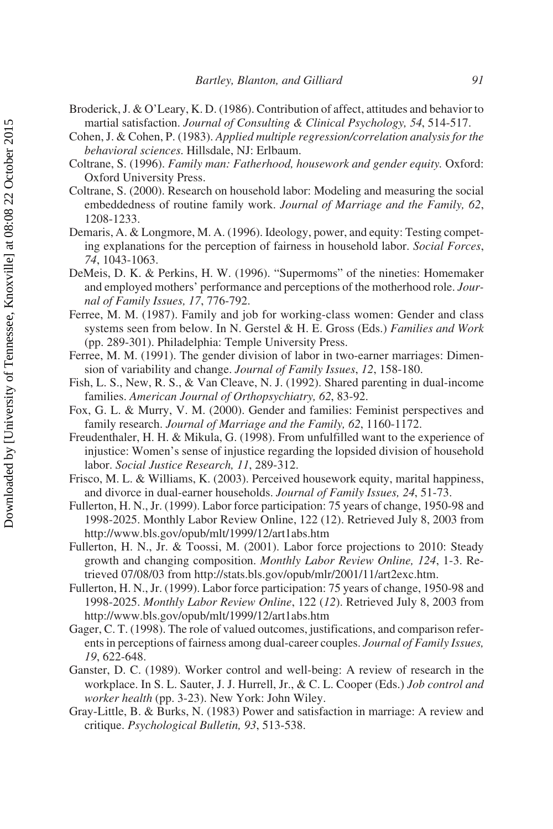- Broderick, J. & O'Leary, K. D. (1986). Contribution of affect, attitudes and behavior to martial satisfaction. *Journal of Consulting & Clinical Psychology, 54*, 514-517.
- Cohen, J. & Cohen, P. (1983). *Applied multiple regression/correlation analysis for the behavioral sciences*. Hillsdale, NJ: Erlbaum.
- Coltrane, S. (1996). *Family man: Fatherhood, housework and gender equity.* Oxford: Oxford University Press.
- Coltrane, S. (2000). Research on household labor: Modeling and measuring the social embeddedness of routine family work. *Journal of Marriage and the Family, 62*, 1208-1233.
- Demaris, A. & Longmore, M. A. (1996). Ideology, power, and equity: Testing competing explanations for the perception of fairness in household labor. *Social Forces*, *74*, 1043-1063.
- DeMeis, D. K. & Perkins, H. W. (1996). "Supermoms" of the nineties: Homemaker and employed mothers' performance and perceptions of the motherhood role. *Journal of Family Issues, 17*, 776-792.
- Ferree, M. M. (1987). Family and job for working-class women: Gender and class systems seen from below. In N. Gerstel & H. E. Gross (Eds.) *Families and Work* (pp. 289-301). Philadelphia: Temple University Press.
- Ferree, M. M. (1991). The gender division of labor in two-earner marriages: Dimension of variability and change. *Journal of Family Issues*, *12*, 158-180.
- Fish, L. S., New, R. S., & Van Cleave, N. J. (1992). Shared parenting in dual-income families. *American Journal of Orthopsychiatry, 62*, 83-92.
- Fox, G. L. & Murry, V. M. (2000). Gender and families: Feminist perspectives and family research. *Journal of Marriage and the Family, 62*, 1160-1172.
- Freudenthaler, H. H. & Mikula, G. (1998). From unfulfilled want to the experience of injustice: Women's sense of injustice regarding the lopsided division of household labor. *Social Justice Research, 11*, 289-312.
- Frisco, M. L. & Williams, K. (2003). Perceived housework equity, marital happiness, and divorce in dual-earner households. *Journal of Family Issues, 24*, 51-73.
- Fullerton, H. N., Jr. (1999). Labor force participation: 75 years of change, 1950-98 and 1998-2025. Monthly Labor Review Online, 122 (12). Retrieved July 8, 2003 from http://www.bls.gov/opub/mlt/1999/12/art1abs.htm
- Fullerton, H. N., Jr. & Toossi, M. (2001). Labor force projections to 2010: Steady growth and changing composition. *Monthly Labor Review Online, 124*, 1-3. Retrieved 07/08/03 from http://stats.bls.gov/opub/mlr/2001/11/art2exc.htm.
- Fullerton, H. N., Jr. (1999). Labor force participation: 75 years of change, 1950-98 and 1998-2025. *Monthly Labor Review Online*, 122 (*12*). Retrieved July 8, 2003 from http://www.bls.gov/opub/mlt/1999/12/art1abs.htm
- Gager, C. T. (1998). The role of valued outcomes, justifications, and comparison referents in perceptions of fairness among dual-career couples. *Journal of Family Issues, 19*, 622-648.
- Ganster, D. C. (1989). Worker control and well-being: A review of research in the workplace. In S. L. Sauter, J. J. Hurrell, Jr., & C. L. Cooper (Eds.) *Job control and worker health* (pp. 3-23). New York: John Wiley.
- Gray-Little, B. & Burks, N. (1983) Power and satisfaction in marriage: A review and critique. *Psychological Bulletin, 93*, 513-538.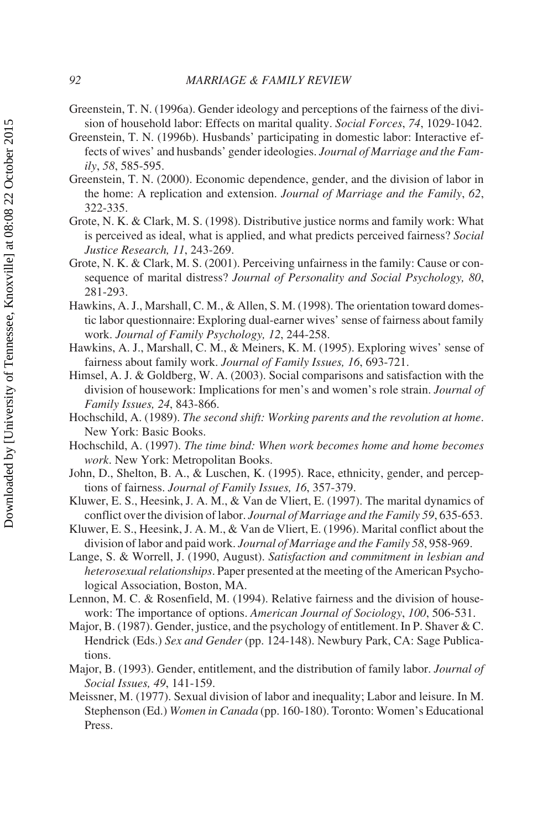- Greenstein, T. N. (1996a). Gender ideology and perceptions of the fairness of the division of household labor: Effects on marital quality. *Social Forces*, *74*, 1029-1042.
- Greenstein, T. N. (1996b). Husbands' participating in domestic labor: Interactive effects of wives' and husbands' gender ideologies. *Journal of Marriage and the Family*, *58*, 585-595.
- Greenstein, T. N. (2000). Economic dependence, gender, and the division of labor in the home: A replication and extension. *Journal of Marriage and the Family*, *62*, 322-335.
- Grote, N. K. & Clark, M. S. (1998). Distributive justice norms and family work: What is perceived as ideal, what is applied, and what predicts perceived fairness? *Social Justice Research, 11*, 243-269.
- Grote, N. K. & Clark, M. S. (2001). Perceiving unfairness in the family: Cause or consequence of marital distress? *Journal of Personality and Social Psychology, 80*, 281-293.
- Hawkins, A. J., Marshall, C. M., & Allen, S. M. (1998). The orientation toward domestic labor questionnaire: Exploring dual-earner wives' sense of fairness about family work. *Journal of Family Psychology, 12*, 244-258.
- Hawkins, A. J., Marshall, C. M., & Meiners, K. M. (1995). Exploring wives' sense of fairness about family work. *Journal of Family Issues, 16*, 693-721.
- Himsel, A. J. & Goldberg, W. A. (2003). Social comparisons and satisfaction with the division of housework: Implications for men's and women's role strain. *Journal of Family Issues, 24*, 843-866.
- Hochschild, A. (1989). *The second shift: Working parents and the revolution at home*. New York: Basic Books.
- Hochschild, A. (1997). *The time bind: When work becomes home and home becomes work*. New York: Metropolitan Books.
- John, D., Shelton, B. A., & Luschen, K. (1995). Race, ethnicity, gender, and perceptions of fairness. *Journal of Family Issues, 16*, 357-379.
- Kluwer, E. S., Heesink, J. A. M., & Van de Vliert, E. (1997). The marital dynamics of conflict over the division of labor. *Journal of Marriage and the Family 59*, 635-653.
- Kluwer, E. S., Heesink, J. A. M., & Van de Vliert, E. (1996). Marital conflict about the division of labor and paid work. *Journal of Marriage and the Family 58*, 958-969.
- Lange, S. & Worrell, J. (1990, August). *Satisfaction and commitment in lesbian and heterosexual relationships*. Paper presented at the meeting of the American Psychological Association, Boston, MA.
- Lennon, M. C. & Rosenfield, M. (1994). Relative fairness and the division of housework: The importance of options. *American Journal of Sociology*, *100*, 506-531.
- Major, B. (1987). Gender, justice, and the psychology of entitlement. In P. Shaver & C. Hendrick (Eds.) *Sex and Gender* (pp. 124-148). Newbury Park, CA: Sage Publications.
- Major, B. (1993). Gender, entitlement, and the distribution of family labor. *Journal of Social Issues, 49*, 141-159.
- Meissner, M. (1977). Sexual division of labor and inequality; Labor and leisure. In M. Stephenson (Ed.) *Women in Canada* (pp. 160-180). Toronto: Women's Educational Press.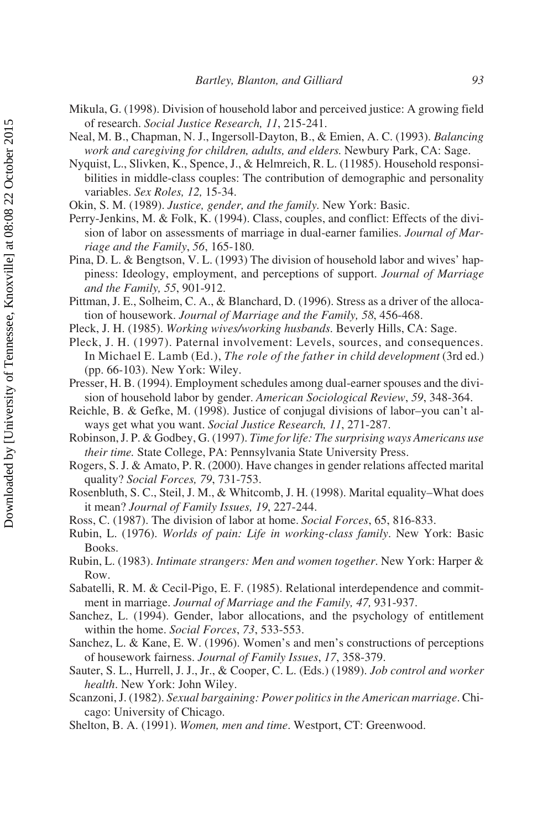- Mikula, G. (1998). Division of household labor and perceived justice: A growing field of research. *Social Justice Research, 11*, 215-241.
- Neal, M. B., Chapman, N. J., Ingersoll-Dayton, B., & Emien, A. C. (1993). *Balancing work and caregiving for children, adults, and elders*. Newbury Park, CA: Sage.
- Nyquist, L., Slivken, K., Spence, J., & Helmreich, R. L. (11985). Household responsibilities in middle-class couples: The contribution of demographic and personality variables. *Sex Roles, 12,* 15-34.
- Okin, S. M. (1989). *Justice, gender, and the family*. New York: Basic.
- Perry-Jenkins, M. & Folk, K. (1994). Class, couples, and conflict: Effects of the division of labor on assessments of marriage in dual-earner families. *Journal of Marriage and the Family*, *56*, 165-180.
- Pina, D. L. & Bengtson, V. L. (1993) The division of household labor and wives' happiness: Ideology, employment, and perceptions of support. *Journal of Marriage and the Family, 55*, 901-912.
- Pittman, J. E., Solheim, C. A., & Blanchard, D. (1996). Stress as a driver of the allocation of housework. *Journal of Marriage and the Family, 58*, 456-468.
- Pleck, J. H. (1985). *Working wives/working husbands*. Beverly Hills, CA: Sage.
- Pleck, J. H. (1997). Paternal involvement: Levels, sources, and consequences. In Michael E. Lamb (Ed.), *The role of the father in child development* (3rd ed.) (pp. 66-103). New York: Wiley.
- Presser, H. B. (1994). Employment schedules among dual-earner spouses and the division of household labor by gender. *American Sociological Review*, *59*, 348-364.
- Reichle, B. & Gefke, M. (1998). Justice of conjugal divisions of labor–you can't always get what you want. *Social Justice Research, 11*, 271-287.
- Robinson, J. P. & Godbey, G. (1997). *Time for life: The surprising ways Americans use their time.* State College, PA: Pennsylvania State University Press.
- Rogers, S. J. & Amato, P. R. (2000). Have changes in gender relations affected marital quality? *Social Forces, 79*, 731-753.
- Rosenbluth, S. C., Steil, J. M., & Whitcomb, J. H. (1998). Marital equality–What does it mean? *Journal of Family Issues, 19*, 227-244.
- Ross, C. (1987). The division of labor at home. *Social Forces*, 65, 816-833.
- Rubin, L. (1976). *Worlds of pain: Life in working-class family*. New York: Basic Books.
- Rubin, L. (1983). *Intimate strangers: Men and women together*. New York: Harper & Row.
- Sabatelli, R. M. & Cecil-Pigo, E. F. (1985). Relational interdependence and commitment in marriage. *Journal of Marriage and the Family, 47,* 931-937.
- Sanchez, L. (1994). Gender, labor allocations, and the psychology of entitlement within the home. *Social Forces*, *73*, 533-553.
- Sanchez, L. & Kane, E. W. (1996). Women's and men's constructions of perceptions of housework fairness. *Journal of Family Issues*, *17*, 358-379.
- Sauter, S. L., Hurrell, J. J., Jr., & Cooper, C. L. (Eds.) (1989). *Job control and worker health*. New York: John Wiley.
- Scanzoni, J. (1982). *Sexual bargaining: Power politics in the American marriage*. Chicago: University of Chicago.
- Shelton, B. A. (1991). *Women, men and time*. Westport, CT: Greenwood.